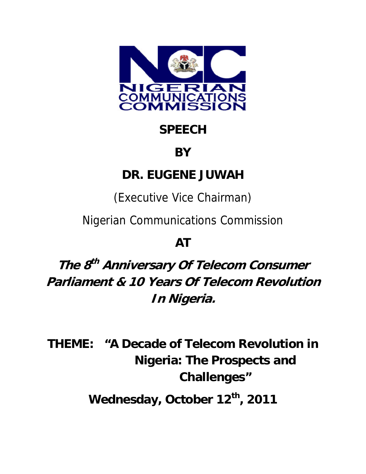

# **SPEECH**

### **BY**

## **DR. EUGENE JUWAH**

(Executive Vice Chairman)

Nigerian Communications Commission

## **AT**

**The 8th Anniversary Of Telecom Consumer Parliament & 10 Years Of Telecom Revolution In Nigeria.** 

**THEME: "A Decade of Telecom Revolution in Nigeria: The Prospects and Challenges"** 

Wednesday, October 12<sup>th</sup>, 2011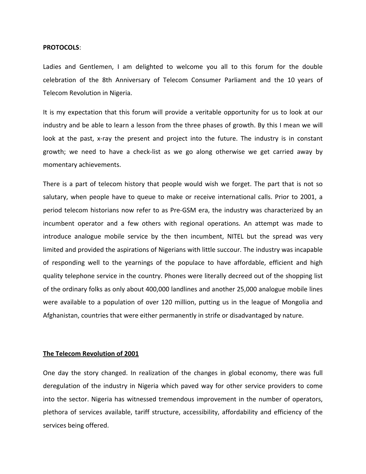#### **PROTOCOLS**:

Ladies and Gentlemen, I am delighted to welcome you all to this forum for the double celebration of the 8th Anniversary of Telecom Consumer Parliament and the 10 years of Telecom Revolution in Nigeria.

It is my expectation that this forum will provide a veritable opportunity for us to look at our industry and be able to learn a lesson from the three phases of growth. By this I mean we will look at the past, x-ray the present and project into the future. The industry is in constant growth; we need to have a check‐list as we go along otherwise we get carried away by momentary achievements.

There is a part of telecom history that people would wish we forget. The part that is not so salutary, when people have to queue to make or receive international calls. Prior to 2001, a period telecom historians now refer to as Pre‐GSM era, the industry was characterized by an incumbent operator and a few others with regional operations. An attempt was made to introduce analogue mobile service by the then incumbent, NITEL but the spread was very limited and provided the aspirations of Nigerians with little succour. The industry was incapable of responding well to the yearnings of the populace to have affordable, efficient and high quality telephone service in the country. Phones were literally decreed out of the shopping list of the ordinary folks as only about 400,000 landlines and another 25,000 analogue mobile lines were available to a population of over 120 million, putting us in the league of Mongolia and Afghanistan, countries that were either permanently in strife or disadvantaged by nature.

#### **The Telecom Revolution of 2001**

One day the story changed. In realization of the changes in global economy, there was full deregulation of the industry in Nigeria which paved way for other service providers to come into the sector. Nigeria has witnessed tremendous improvement in the number of operators, plethora of services available, tariff structure, accessibility, affordability and efficiency of the services being offered.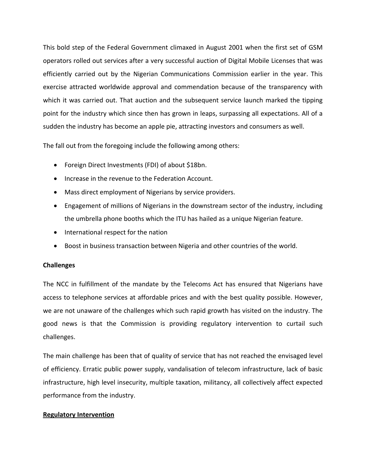This bold step of the Federal Government climaxed in August 2001 when the first set of GSM operators rolled out services after a very successful auction of Digital Mobile Licenses that was efficiently carried out by the Nigerian Communications Commission earlier in the year. This exercise attracted worldwide approval and commendation because of the transparency with which it was carried out. That auction and the subsequent service launch marked the tipping point for the industry which since then has grown in leaps, surpassing all expectations. All of a sudden the industry has become an apple pie, attracting investors and consumers as well.

The fall out from the foregoing include the following among others:

- Foreign Direct Investments (FDI) of about \$18bn.
- Increase in the revenue to the Federation Account.
- Mass direct employment of Nigerians by service providers.
- Engagement of millions of Nigerians in the downstream sector of the industry, including the umbrella phone booths which the ITU has hailed as a unique Nigerian feature.
- International respect for the nation
- Boost in business transaction between Nigeria and other countries of the world.

### **Challenges**

The NCC in fulfillment of the mandate by the Telecoms Act has ensured that Nigerians have access to telephone services at affordable prices and with the best quality possible. However, we are not unaware of the challenges which such rapid growth has visited on the industry. The good news is that the Commission is providing regulatory intervention to curtail such challenges.

The main challenge has been that of quality of service that has not reached the envisaged level of efficiency. Erratic public power supply, vandalisation of telecom infrastructure, lack of basic infrastructure, high level insecurity, multiple taxation, militancy, all collectively affect expected performance from the industry.

### **Regulatory Intervention**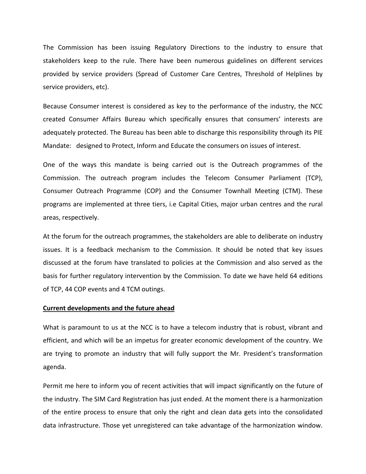The Commission has been issuing Regulatory Directions to the industry to ensure that stakeholders keep to the rule. There have been numerous guidelines on different services provided by service providers (Spread of Customer Care Centres, Threshold of Helplines by service providers, etc).

Because Consumer interest is considered as key to the performance of the industry, the NCC created Consumer Affairs Bureau which specifically ensures that consumers' interests are adequately protected. The Bureau has been able to discharge this responsibility through its PIE Mandate: designed to Protect, Inform and Educate the consumers on issues of interest.

One of the ways this mandate is being carried out is the Outreach programmes of the Commission. The outreach program includes the Telecom Consumer Parliament (TCP), Consumer Outreach Programme (COP) and the Consumer Townhall Meeting (CTM). These programs are implemented at three tiers, i.e Capital Cities, major urban centres and the rural areas, respectively.

At the forum for the outreach programmes, the stakeholders are able to deliberate on industry issues. It is a feedback mechanism to the Commission. It should be noted that key issues discussed at the forum have translated to policies at the Commission and also served as the basis for further regulatory intervention by the Commission. To date we have held 64 editions of TCP, 44 COP events and 4 TCM outings.

#### **Current developments and the future ahead**

What is paramount to us at the NCC is to have a telecom industry that is robust, vibrant and efficient, and which will be an impetus for greater economic development of the country. We are trying to promote an industry that will fully support the Mr. President's transformation agenda.

Permit me here to inform you of recent activities that will impact significantly on the future of the industry. The SIM Card Registration has just ended. At the moment there is a harmonization of the entire process to ensure that only the right and clean data gets into the consolidated data infrastructure. Those yet unregistered can take advantage of the harmonization window.